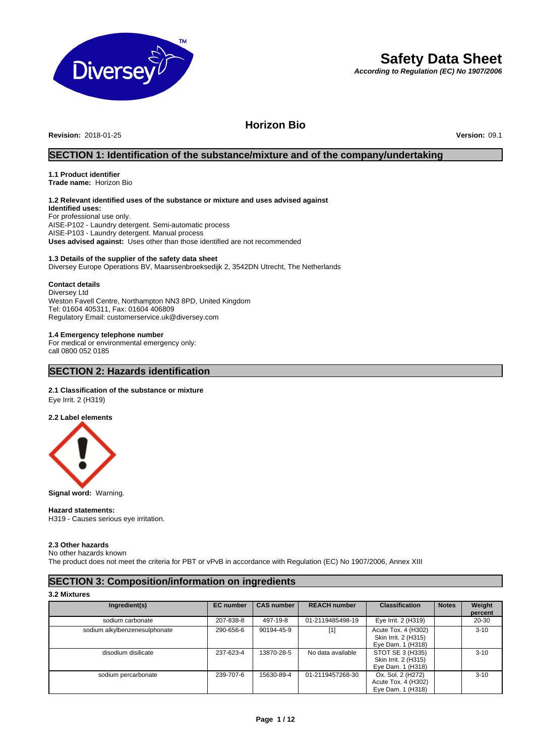

# **Safety Data Sheet**

*According to Regulation (EC) No 1907/2006*

# **Horizon Bio**

**Revision:** 2018-01-25 **Version:** 09.1

# **SECTION 1: Identification of the substance/mixture and of the company/undertaking**

#### **1.1 Product identifier Trade name:** Horizon Bio

# **1.2 Relevant identified uses of the substance or mixture and uses advised against**

**Identified uses:** For professional use only. AISE-P102 - Laundry detergent. Semi-automatic process AISE-P103 - Laundry detergent. Manual process **Uses advised against:** Uses other than those identified are not recommended

# **1.3 Details of the supplier of the safety data sheet**

Diversey Europe Operations BV, Maarssenbroeksedijk 2, 3542DN Utrecht, The Netherlands

#### **Contact details**

Diversey Ltd Weston Favell Centre, Northampton NN3 8PD, United Kingdom Tel: 01604 405311, Fax: 01604 406809 Regulatory Email: customerservice.uk@diversey.com

# **1.4 Emergency telephone number**

For medical or environmental emergency only: call 0800 052 0185

# **SECTION 2: Hazards identification**

# **2.1 Classification of the substance or mixture**

Eye Irrit. 2 (H319)

# **2.2 Label elements**



**Signal word:** Warning.

#### **Hazard statements:**

H319 - Causes serious eye irritation.

# **2.3 Other hazards**

No other hazards known

The product does not meet the criteria for PBT or vPvB in accordance with Regulation (EC) No 1907/2006, Annex XIII

# **SECTION 3: Composition/information on ingredients**

# **3.2 Mixtures**

| Ingredient(s)                 | <b>EC</b> number | <b>CAS number</b> | <b>REACH number</b> | <b>Classification</b>                                            | <b>Notes</b> | Weight   |
|-------------------------------|------------------|-------------------|---------------------|------------------------------------------------------------------|--------------|----------|
|                               |                  |                   |                     |                                                                  |              | percent  |
| sodium carbonate              | 207-838-8        | 497-19-8          | 01-2119485498-19    | Eye Irrit. 2 (H319)                                              |              | 20-30    |
| sodium alkylbenzenesulphonate | 290-656-6        | 90194-45-9        | [1]                 | Acute Tox. 4 (H302)<br>Skin Irrit. 2 (H315)<br>Eye Dam. 1 (H318) |              | $3 - 10$ |
| disodium disilicate           | 237-623-4        | 13870-28-5        | No data available   | STOT SE 3 (H335)<br>Skin Irrit. 2 (H315)<br>Eye Dam. 1 (H318)    |              | $3 - 10$ |
| sodium percarbonate           | 239-707-6        | 15630-89-4        | 01-2119457268-30    | Ox. Sol. 2 (H272)<br>Acute Tox. 4 (H302)<br>Eye Dam. 1 (H318)    |              | $3 - 10$ |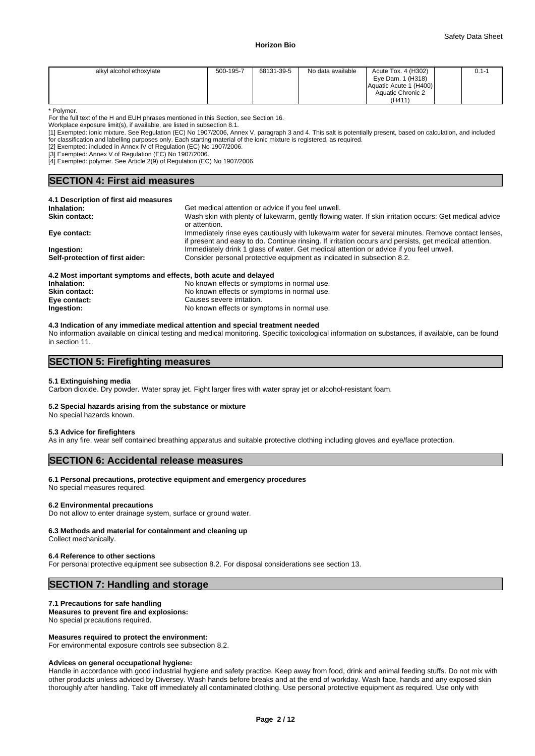| alkyl alcohol ethoxylate | 500-195-7 | 68131-39-5 | No data available | Acute Tox. 4 (H302)<br>Eye Dam. 1 (H318)<br>Aquatic Acute 1 (H400) | $0.1 - 1$ |
|--------------------------|-----------|------------|-------------------|--------------------------------------------------------------------|-----------|
|                          |           |            |                   | Aquatic Chronic 2<br>(H411)                                        |           |

\* Polymer.

For the full text of the H and EUH phrases mentioned in this Section, see Section 16.

Workplace exposure limit(s), if available, are listed in subsection 8.1.

[1] Exempted: ionic mixture. See Regulation (EC) No 1907/2006, Annex V, paragraph 3 and 4. This salt is potentially present, based on calculation, and included for classification and labelling purposes only. Each starting material of the ionic mixture is registered, as required.

[2] Exempted: included in Annex IV of Regulation (EC) No 1907/2006.

[3] Exempted: Annex V of Regulation (EC) No 1907/2006.

[4] Exempted: polymer. See Article 2(9) of Regulation (EC) No 1907/2006.

# **SECTION 4: First aid measures**

| 4.1 Description of first aid measures                           |                                                                                                                                                                                                             |
|-----------------------------------------------------------------|-------------------------------------------------------------------------------------------------------------------------------------------------------------------------------------------------------------|
| Inhalation:                                                     | Get medical attention or advice if you feel unwell.                                                                                                                                                         |
| <b>Skin contact:</b>                                            | Wash skin with plenty of lukewarm, gently flowing water. If skin irritation occurs: Get medical advice<br>or attention.                                                                                     |
| Eye contact:                                                    | Immediately rinse eyes cautiously with lukewarm water for several minutes. Remove contact lenses,<br>if present and easy to do. Continue rinsing. If irritation occurs and persists, get medical attention. |
| Ingestion:                                                      | Immediately drink 1 glass of water. Get medical attention or advice if you feel unwell.                                                                                                                     |
| Self-protection of first aider:                                 | Consider personal protective equipment as indicated in subsection 8.2.                                                                                                                                      |
| 4.2 Most important symptoms and effects, both acute and delayed |                                                                                                                                                                                                             |
|                                                                 |                                                                                                                                                                                                             |

| <b>7.2 most important symptoms and chects, both acute and delayed</b> |                                             |  |  |  |
|-----------------------------------------------------------------------|---------------------------------------------|--|--|--|
| Inhalation:                                                           | No known effects or symptoms in normal use. |  |  |  |
| <b>Skin contact:</b>                                                  | No known effects or symptoms in normal use. |  |  |  |
| Eye contact:                                                          | Causes severe irritation.                   |  |  |  |
| Ingestion:                                                            | No known effects or symptoms in normal use. |  |  |  |
|                                                                       |                                             |  |  |  |

#### **4.3 Indication of any immediate medical attention and special treatment needed**

No information available on clinical testing and medical monitoring. Specific toxicological information on substances, if available, can be found in section 11.

# **SECTION 5: Firefighting measures**

# **5.1 Extinguishing media**

Carbon dioxide. Dry powder. Water spray jet. Fight larger fires with water spray jet or alcohol-resistant foam.

# **5.2 Special hazards arising from the substance or mixture**

No special hazards known.

#### **5.3 Advice for firefighters**

As in any fire, wear self contained breathing apparatus and suitable protective clothing including gloves and eye/face protection.

# **SECTION 6: Accidental release measures**

# **6.1 Personal precautions, protective equipment and emergency procedures**

No special measures required.

#### **6.2 Environmental precautions**

Do not allow to enter drainage system, surface or ground water.

# **6.3 Methods and material for containment and cleaning up**

Collect mechanically.

#### **6.4 Reference to other sections**

For personal protective equipment see subsection 8.2. For disposal considerations see section 13.

# **SECTION 7: Handling and storage**

# **7.1 Precautions for safe handling**

**Measures to prevent fire and explosions:** No special precautions required.

#### **Measures required to protect the environment:**

For environmental exposure controls see subsection 8.2.

# **Advices on general occupational hygiene:**

Handle in accordance with good industrial hygiene and safety practice. Keep away from food, drink and animal feeding stuffs. Do not mix with other products unless adviced by Diversey. Wash hands before breaks and at the end of workday. Wash face, hands and any exposed skin thoroughly after handling. Take off immediately all contaminated clothing. Use personal protective equipment as required. Use only with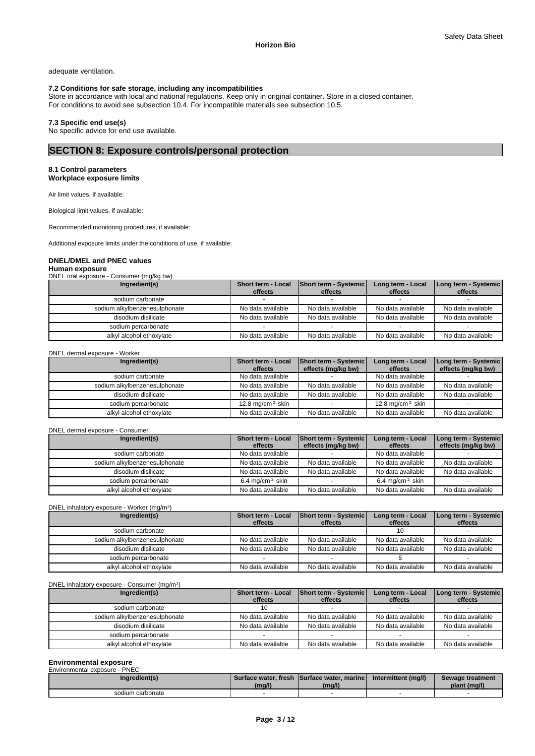**Long term - Systemic effects** 

adequate ventilation.

# **7.2 Conditions for safe storage, including any incompatibilities**

Store in accordance with local and national regulations. Keep only in original container. Store in a closed container. For conditions to avoid see subsection 10.4. For incompatible materials see subsection 10.5.

# **7.3 Specific end use(s)**

No specific advice for end use available.

# **SECTION 8: Exposure controls/personal protection**

# **8.1 Control parameters Workplace exposure limits**

Air limit values, if available:

Biological limit values, if available:

Recommended monitoring procedures, if available:

Additional exposure limits under the conditions of use, if available:

# **DNEL/DMEL and PNEC values**

# **Human exposure**

DNEL oral exposure - Consumer (mg/kg bw) **Ingredient(s) Short term - Local effects Short term - Systemic effects Long term - Local effects**  sodium carbonate sodium alkylbenzenesulphonate No data available No data available No data available No data available No data available disodium disilicate No data available No data available No data available No data available sodium percarbonate

#### DNEL dermal exposure - Worker

| Ingredient(s)                 | <b>Short term - Local</b><br>effects | <b>Short term - Systemic</b><br>effects (mg/kg bw) | Long term - Local<br>effects | Long term - Systemic  <br>effects (mg/kg bw) |
|-------------------------------|--------------------------------------|----------------------------------------------------|------------------------------|----------------------------------------------|
| sodium carbonate              | No data available                    |                                                    | No data available            |                                              |
| sodium alkylbenzenesulphonate | No data available                    | No data available                                  | No data available            | No data available                            |
| disodium disilicate           | No data available                    | No data available                                  | No data available            | No data available                            |
| sodium percarbonate           | 12.8 mg/cm $2$ skin                  |                                                    | 12.8 mg/cm $2$ skin          |                                              |
| alkyl alcohol ethoxylate      | No data available                    | No data available                                  | No data available            | No data available                            |

alkyl alcohol ethoxylate No data available No data available No data available No data available

#### DNEL dermal exposure - Consumer

| Ingredient(s)                 | <b>Short term - Local</b><br>effects | <b>Short term - Systemic</b><br>effects (mg/kg bw) | Long term - Local<br>effects | Long term - Systemic<br>effects (mg/kg bw) |
|-------------------------------|--------------------------------------|----------------------------------------------------|------------------------------|--------------------------------------------|
| sodium carbonate              | No data available                    |                                                    | No data available            |                                            |
| sodium alkylbenzenesulphonate | No data available                    | No data available                                  | No data available            | No data available                          |
| disodium disilicate           | No data available                    | No data available                                  | No data available            | No data available                          |
| sodium percarbonate           | 6.4 mg/cm <sup>2</sup> skin          |                                                    | 6.4 mg/cm <sup>2</sup> skin  |                                            |
| alkyl alcohol ethoxylate      | No data available                    | No data available                                  | No data available            | No data available                          |

#### DNEL inhalatory exposure - Worker (mg/m<sup>3</sup>) )

| Ingredient(s)                 | Short term - Local<br>effects | <b>Short term - Systemic</b><br>effects | Long term - Local<br>effects | <b>Long term - Systemic</b><br>effects |
|-------------------------------|-------------------------------|-----------------------------------------|------------------------------|----------------------------------------|
| sodium carbonate              |                               |                                         |                              |                                        |
| sodium alkylbenzenesulphonate | No data available             | No data available                       | No data available            | No data available                      |
| disodium disilicate           | No data available             | No data available                       | No data available            | No data available                      |
| sodium percarbonate           |                               |                                         |                              |                                        |
| alkyl alcohol ethoxylate      | No data available             | No data available                       | No data available            | No data available                      |

| DNEL inhalatory exposure - Consumer (mg/m <sup>3</sup> ) |  |  |  |
|----------------------------------------------------------|--|--|--|
|                                                          |  |  |  |

| Ingredient(s)                 | <b>Short term - Local</b><br>effects | <b>Short term - Systemic</b><br>effects | Long term - Local<br>effects | Long term - Systemic<br>effects |
|-------------------------------|--------------------------------------|-----------------------------------------|------------------------------|---------------------------------|
| sodium carbonate              |                                      |                                         |                              |                                 |
| sodium alkylbenzenesulphonate | No data available                    | No data available                       | No data available            | No data available               |
| disodium disilicate           | No data available                    | No data available                       | No data available            | No data available               |
| sodium percarbonate           |                                      |                                         |                              |                                 |
| alkyl alcohol ethoxylate      | No data available                    | No data available                       | No data available            | No data available               |

# **Environmental exposure**

| Environmental exposure - PNEC |        |                                             |                     |                  |
|-------------------------------|--------|---------------------------------------------|---------------------|------------------|
| Ingredient(s)                 |        | Surface water, fresh Surface water, marinel | Intermittent (mg/l) | Sewage treatment |
|                               |        |                                             |                     |                  |
|                               | (mg/l) | (mg/l)                                      |                     | plant (mg/l)     |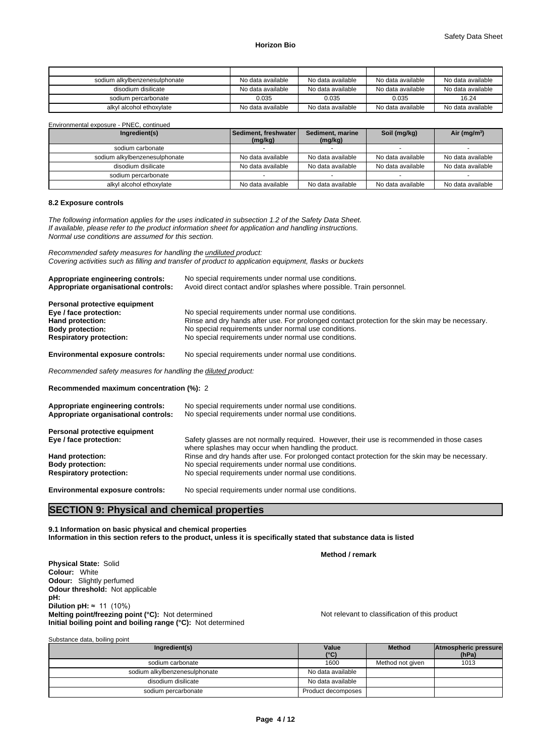| sodium alkylbenzenesulphonate | No data available | No data available | No data available | No data available |
|-------------------------------|-------------------|-------------------|-------------------|-------------------|
| disodium disilicate           | No data available | No data available | No data available | No data available |
| sodium percarbonate           | 0.035             | 0.035             | 0.035             | 16.24             |
| alkyl alcohol ethoxylate      | No data available | No data available | No data available | No data available |

| Environmental exposure - PNEC, continued |                                 |                             |                   |                   |
|------------------------------------------|---------------------------------|-----------------------------|-------------------|-------------------|
| Ingredient(s)                            | Sediment, freshwater<br>(mg/kg) | Sediment, marine<br>(mg/kg) | Soil (mg/kg)      | Air ( $mg/m3$ )   |
| sodium carbonate                         |                                 |                             |                   |                   |
| sodium alkylbenzenesulphonate            | No data available               | No data available           | No data available | No data available |
| disodium disilicate                      | No data available               | No data available           | No data available | No data available |
| sodium percarbonate                      |                                 |                             |                   |                   |
| alkyl alcohol ethoxylate                 | No data available               | No data available           | No data available | No data available |

#### **8.2 Exposure controls**

*The following information applies for the uses indicated in subsection 1.2 of the Safety Data Sheet. If available, please refer to the product information sheet for application and handling instructions. Normal use conditions are assumed for this section.*

*Recommended safety measures for handling the undiluted product: Covering activities such as filling and transfer of product to application equipment, flasks or buckets*

| Appropriate engineering controls:<br>Appropriate organisational controls:                                                                | No special requirements under normal use conditions.<br>Avoid direct contact and/or splashes where possible. Train personnel.                                                                                                                                          |
|------------------------------------------------------------------------------------------------------------------------------------------|------------------------------------------------------------------------------------------------------------------------------------------------------------------------------------------------------------------------------------------------------------------------|
| Personal protective equipment<br>Eye / face protection:<br>Hand protection:<br><b>Body protection:</b><br><b>Respiratory protection:</b> | No special requirements under normal use conditions.<br>Rinse and dry hands after use. For prolonged contact protection for the skin may be necessary.<br>No special requirements under normal use conditions.<br>No special requirements under normal use conditions. |
| <b>Environmental exposure controls:</b>                                                                                                  | No special requirements under normal use conditions.                                                                                                                                                                                                                   |
| Recommended safety measures for handling the diluted product:                                                                            |                                                                                                                                                                                                                                                                        |
| Recommended maximum concentration (%): 2                                                                                                 |                                                                                                                                                                                                                                                                        |
| Appropriate engineering controls:<br>Appropriate organisational controls:                                                                | No special requirements under normal use conditions.<br>No special requirements under normal use conditions.                                                                                                                                                           |
| Personal protective equipment<br>Eye / face protection:                                                                                  | Safety glasses are not normally required. However, their use is recommended in those cases<br>where splashes may occur when handling the product.                                                                                                                      |

**Body protection: No special requirements under normal use conditions.**<br>**Respiratory protection: No special requirements under normal use conditions.** 

**Environmental exposure controls:** No special requirements under normal use conditions.

**SECTION 9: Physical and chemical properties** 

**Respiratory protection:** No special requirements under normal use conditions.

**Hand protection:** Rinse and dry hands after use. For prolonged contact protection for the skin may be necessary.

**9.1 Information on basic physical and chemical properties Information in this section refers to the product, unless it is specifically stated that substance data is listed**

**Method / remark**

**Physical State:** Solid **Colour:** White **Odour:** Slightly perfumed **Odour threshold:** Not applicable **pH: Dilution pH:** ≈ 11 (10%) **Melting point/freezing point (°C):** Not determined Not relevant to classification of this product **Initial boiling point and boiling range (°C):** Not determined

Substance data, boiling point

| Ingredient(s)                 | Value<br>$(^{\circ}C)$ | <b>Method</b>    | Atmospheric pressure<br>(hPa) |
|-------------------------------|------------------------|------------------|-------------------------------|
| sodium carbonate              | 1600                   | Method not given | 1013                          |
| sodium alkylbenzenesulphonate | No data available      |                  |                               |
| disodium disilicate           | No data available      |                  |                               |
| sodium percarbonate           | Product decomposes     |                  |                               |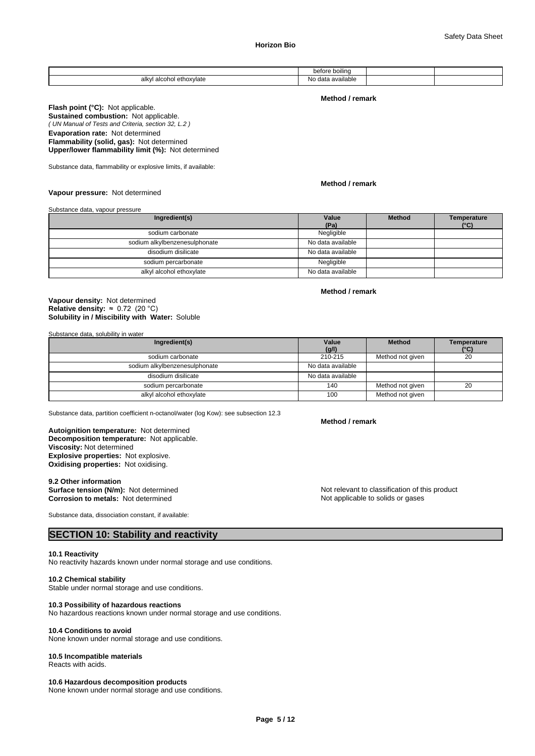|                                              | boiling<br>before                          |  |
|----------------------------------------------|--------------------------------------------|--|
| alkvl<br><sup>1</sup> ethoxvlate<br>`alcohol | $\cdots$<br>available<br>$A^{\sim}$<br>NO. |  |

#### **Method / remark**

*( UN Manual of Tests and Criteria, section 32, L.2 )* **Flash point (°C):** Not applicable. **Sustained combustion:** Not applicable. **Evaporation rate:** Not determined **Flammability (solid, gas):** Not determined **Upper/lower flammability limit (%):** Not determined

Substance data, flammability or explosive limits, if available:

# **Method / remark**

**Vapour pressure:** Not determined

Substance data, vapour pressure

| Ingredient(s)                 | Value<br>(Pa)     | <b>Method</b> | Temperature<br>$(^{\circ}C)$ |
|-------------------------------|-------------------|---------------|------------------------------|
| sodium carbonate              | Negligible        |               |                              |
| sodium alkylbenzenesulphonate | No data available |               |                              |
| disodium disilicate           | No data available |               |                              |
| sodium percarbonate           | Negligible        |               |                              |
| alkyl alcohol ethoxylate      | No data available |               |                              |

# **Method / remark**

**Solubility in / Miscibility with Water:** Soluble **Vapour density:** Not determined **Relative density:** ≈0.72(20°C)

Substance data, solubility in water

| Ingredient(s)                 | Value             | <b>Method</b>    | Temperature |
|-------------------------------|-------------------|------------------|-------------|
|                               | (g/l)             |                  | (°C)        |
| sodium carbonate              | 210-215           | Method not given | 20          |
| sodium alkylbenzenesulphonate | No data available |                  |             |
| disodium disilicate           | No data available |                  |             |
| sodium percarbonate           | 140               | Method not given | 20          |
| alkyl alcohol ethoxylate      | 100               | Method not given |             |

Substance data, partition coefficient n-octanol/water (log Kow): see subsection 12.3

**Decomposition temperature:** Not applicable. **Autoignition temperature:** Not determined **Viscosity:** Not determined **Explosive properties:** Not explosive. **Oxidising properties:** Not oxidising.

#### **9.2 Other information**

**Surface tension (N/m):** Not determined Not relevant to classification of this product **Corrosion to metals:** Not determined **Notify and America Corrosion to metals:** Not determined

Substance data, dissociation constant, if available:

# **SECTION 10: Stability and reactivity**

# **10.1 Reactivity**

No reactivity hazards known under normal storage and use conditions.

#### **10.2 Chemical stability**

Stable under normal storage and use conditions.

# **10.3 Possibility of hazardous reactions**

No hazardous reactions known under normal storage and use conditions.

# **10.4 Conditions to avoid**

None known under normal storage and use conditions.

# **10.5 Incompatible materials**

Reacts with acids.

# **10.6 Hazardous decomposition products**

None known under normal storage and use conditions.

#### **Method / remark**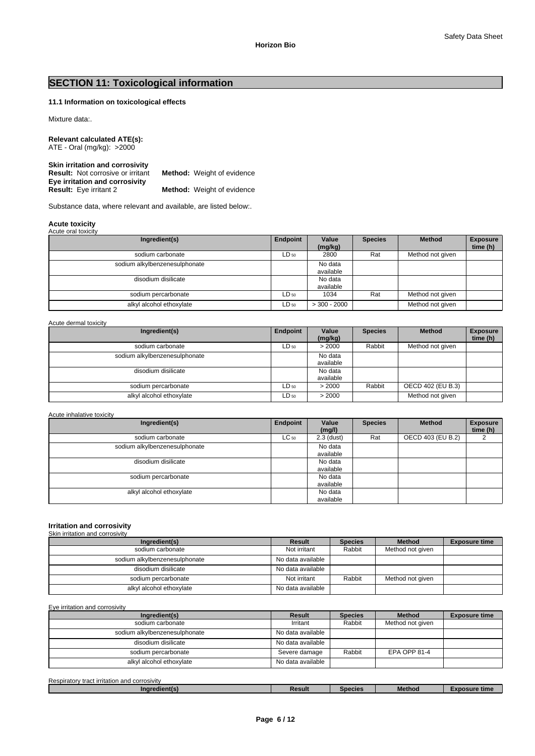# **SECTION 11: Toxicological information**

# **11.1 Information on toxicological effects**

# Mixture data:.

**Relevant calculated ATE(s):** ATE - Oral (mg/kg): >2000

| <b>Skin irritation and corrosivity</b>   |                                   |
|------------------------------------------|-----------------------------------|
| <b>Result:</b> Not corrosive or irritant | <b>Method:</b> Weight of evidence |
| Eye irritation and corrosivity           |                                   |
| <b>Result:</b> Eye irritant 2            | <b>Method:</b> Weight of evidence |

Substance data, where relevant and available, are listed below:.

# **Acute toxicity** Acute oral toxicity

| Acult Uldi IUAICILY           |           |                      |                |                  |                             |
|-------------------------------|-----------|----------------------|----------------|------------------|-----------------------------|
| Ingredient(s)                 | Endpoint  | Value<br>(mg/kg)     | <b>Species</b> | <b>Method</b>    | <b>Exposure</b><br>time (h) |
| sodium carbonate              | $LD_{50}$ | 2800                 | Rat            | Method not given |                             |
| sodium alkylbenzenesulphonate |           | No data<br>available |                |                  |                             |
| disodium disilicate           |           | No data<br>available |                |                  |                             |
| sodium percarbonate           | $LD_{50}$ | 1034                 | Rat            | Method not given |                             |
| alkyl alcohol ethoxylate      | $LD_{50}$ | $>$ 300 - 2000       |                | Method not given |                             |

# Acute dermal toxicity

| Ingredient(s)                 | Endpoint  | Value<br>(mg/kg)     | <b>Species</b> | <b>Method</b>     | <b>Exposure</b><br>time (h) |
|-------------------------------|-----------|----------------------|----------------|-------------------|-----------------------------|
| sodium carbonate              | $LD_{50}$ | > 2000               | Rabbit         | Method not given  |                             |
| sodium alkylbenzenesulphonate |           | No data<br>available |                |                   |                             |
| disodium disilicate           |           | No data<br>available |                |                   |                             |
| sodium percarbonate           | $LD_{50}$ | > 2000               | Rabbit         | OECD 402 (EU B.3) |                             |
| alkyl alcohol ethoxylate      | $LD_{50}$ | > 2000               |                | Method not given  |                             |

# Acute inhalative toxicity

| Ingredient(s)                 | Endpoint  | Value<br>(mg/l)      | <b>Species</b> | <b>Method</b>     | <b>Exposure</b><br>time (h) |
|-------------------------------|-----------|----------------------|----------------|-------------------|-----------------------------|
| sodium carbonate              | $LC_{50}$ | $2.3$ (dust)         | Rat            | OECD 403 (EU B.2) |                             |
| sodium alkylbenzenesulphonate |           | No data<br>available |                |                   |                             |
| disodium disilicate           |           | No data<br>available |                |                   |                             |
| sodium percarbonate           |           | No data<br>available |                |                   |                             |
| alkyl alcohol ethoxylate      |           | No data<br>available |                |                   |                             |

# **Irritation and corrosivity**

| Skin irritation and corrosivity |                   |                |                  |                      |
|---------------------------------|-------------------|----------------|------------------|----------------------|
| Ingredient(s)                   | Result            | <b>Species</b> | <b>Method</b>    | <b>Exposure time</b> |
| sodium carbonate                | Not irritant      | Rabbit         | Method not given |                      |
| sodium alkylbenzenesulphonate   | No data available |                |                  |                      |
| disodium disilicate             | No data available |                |                  |                      |
| sodium percarbonate             | Not irritant      | Rabbit         | Method not given |                      |
| alkyl alcohol ethoxylate        | No data available |                |                  |                      |

# Eye irritation and corrosivity

| Ingredient(s)                 | Result            | <b>Species</b> | <b>Method</b>    | <b>Exposure time</b> |
|-------------------------------|-------------------|----------------|------------------|----------------------|
| sodium carbonate              | Irritant          | Rabbit         | Method not given |                      |
| sodium alkylbenzenesulphonate | No data available |                |                  |                      |
| disodium disilicate           | No data available |                |                  |                      |
| sodium percarbonate           | Severe damage     | Rabbit         | EPA OPP 81-4     |                      |
| alkyl alcohol ethoxylate      | No data available |                |                  |                      |

| Respiratory<br>า and corrosivitv<br>≀ tract irritation a. |        |         |               |            |
|-----------------------------------------------------------|--------|---------|---------------|------------|
| dient(s<br>anare:                                         | Result | Species | <b>Method</b> | osure time |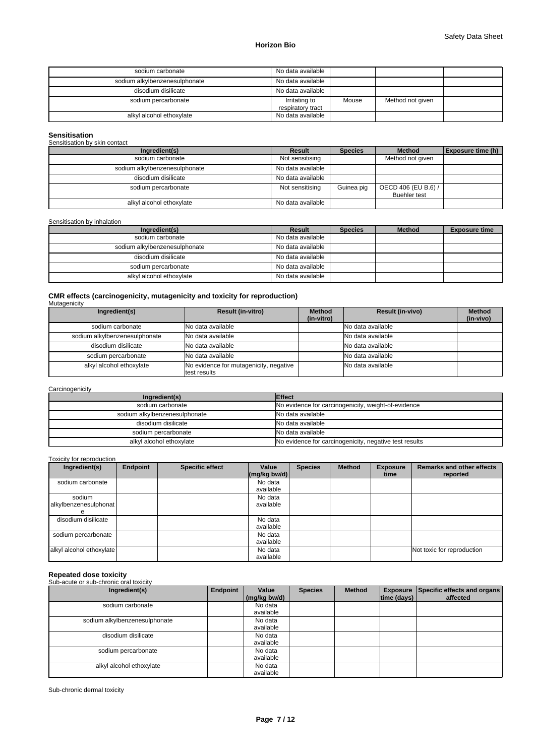| sodium carbonate              | No data available                  |       |                  |  |
|-------------------------------|------------------------------------|-------|------------------|--|
| sodium alkylbenzenesulphonate | No data available                  |       |                  |  |
| disodium disilicate           | No data available                  |       |                  |  |
| sodium percarbonate           | Irritating to<br>respiratory tract | Mouse | Method not given |  |
| alkyl alcohol ethoxylate      | No data available                  |       |                  |  |

# **Sensitisation** Sensitisation by skin contact

| <b>OCHOMOGHOLL DY SKILL COLLIGOL</b> |                   |                |                                            |                          |
|--------------------------------------|-------------------|----------------|--------------------------------------------|--------------------------|
| Ingredient(s)                        | Result            | <b>Species</b> | <b>Method</b>                              | <b>Exposure time (h)</b> |
| sodium carbonate                     | Not sensitising   |                | Method not given                           |                          |
| sodium alkylbenzenesulphonate        | No data available |                |                                            |                          |
| disodium disilicate                  | No data available |                |                                            |                          |
| sodium percarbonate                  | Not sensitising   | Guinea pig     | OECD 406 (EU B.6) /<br><b>Buehler test</b> |                          |
| alkyl alcohol ethoxylate             | No data available |                |                                            |                          |

# Sensitisation by inhalation

| Ingredient(s)                 | Result            | <b>Species</b> | <b>Method</b> | <b>Exposure time</b> |
|-------------------------------|-------------------|----------------|---------------|----------------------|
| sodium carbonate              | No data available |                |               |                      |
| sodium alkylbenzenesulphonate | No data available |                |               |                      |
| disodium disilicate           | No data available |                |               |                      |
| sodium percarbonate           | No data available |                |               |                      |
| alkyl alcohol ethoxylate      | No data available |                |               |                      |

# **CMR effects (carcinogenicity, mutagenicity and toxicity for reproduction)** Mutagenicity

| malagoniony                   |                                        |                             |                         |                            |
|-------------------------------|----------------------------------------|-----------------------------|-------------------------|----------------------------|
| Ingredient(s)                 | <b>Result (in-vitro)</b>               | <b>Method</b><br>(in-vitro) | <b>Result (in-vivo)</b> | <b>Method</b><br>(in-vivo) |
|                               |                                        |                             |                         |                            |
| sodium carbonate              | No data available                      |                             | No data available       |                            |
| sodium alkylbenzenesulphonate | No data available                      |                             | No data available       |                            |
|                               |                                        |                             |                         |                            |
| disodium disilicate           | No data available                      |                             | No data available       |                            |
| sodium percarbonate           | No data available                      |                             | No data available       |                            |
|                               |                                        |                             |                         |                            |
| alkyl alcohol ethoxylate      | No evidence for mutagenicity, negative |                             | No data available       |                            |
|                               | test results                           |                             |                         |                            |

# **Carcinogenicity**

| Ingredient(s)                 | <b>Effect</b>                                          |
|-------------------------------|--------------------------------------------------------|
| sodium carbonate              | No evidence for carcinogenicity, weight-of-evidence    |
| sodium alkylbenzenesulphonate | No data available                                      |
| disodium disilicate           | No data available                                      |
| sodium percarbonate           | No data available                                      |
| alkyl alcohol ethoxylate      | No evidence for carcinogenicity, negative test results |

# Toxicity for reproduction

| Ingredient(s)                        | <b>Endpoint</b> | <b>Specific effect</b> | Value<br>$\left \frac{\text{mg}}{\text{kg}}\right $ bw/d) | <b>Species</b> | <b>Method</b> | <b>Exposure</b><br>time | <b>Remarks and other effects</b><br>reported |
|--------------------------------------|-----------------|------------------------|-----------------------------------------------------------|----------------|---------------|-------------------------|----------------------------------------------|
| sodium carbonate                     |                 |                        | No data<br>available                                      |                |               |                         |                                              |
| sodium<br>alkylbenzenesulphonat<br>е |                 |                        | No data<br>available                                      |                |               |                         |                                              |
| disodium disilicate                  |                 |                        | No data<br>available                                      |                |               |                         |                                              |
| sodium percarbonate                  |                 |                        | No data<br>available                                      |                |               |                         |                                              |
| alkyl alcohol ethoxylate             |                 |                        | No data<br>available                                      |                |               |                         | Not toxic for reproduction                   |

# **Repeated dose toxicity** Sub-acute or sub-chronic oral toxicity

| <b>Sup-active of sup-criterie or all toxicity</b> |          |              |                |        |             |                                      |
|---------------------------------------------------|----------|--------------|----------------|--------|-------------|--------------------------------------|
| Ingredient(s)                                     | Endpoint | Value        | <b>Species</b> | Method |             | Exposure Specific effects and organs |
|                                                   |          | (mg/kg bw/d) |                |        | time (days) | affected                             |
| sodium carbonate                                  |          | No data      |                |        |             |                                      |
|                                                   |          | available    |                |        |             |                                      |
| sodium alkylbenzenesulphonate                     |          | No data      |                |        |             |                                      |
|                                                   |          | available    |                |        |             |                                      |
| disodium disilicate                               |          | No data      |                |        |             |                                      |
|                                                   |          | available    |                |        |             |                                      |
| sodium percarbonate                               |          | No data      |                |        |             |                                      |
|                                                   |          | available    |                |        |             |                                      |
| alkyl alcohol ethoxylate                          |          | No data      |                |        |             |                                      |
|                                                   |          | available    |                |        |             |                                      |

Sub-chronic dermal toxicity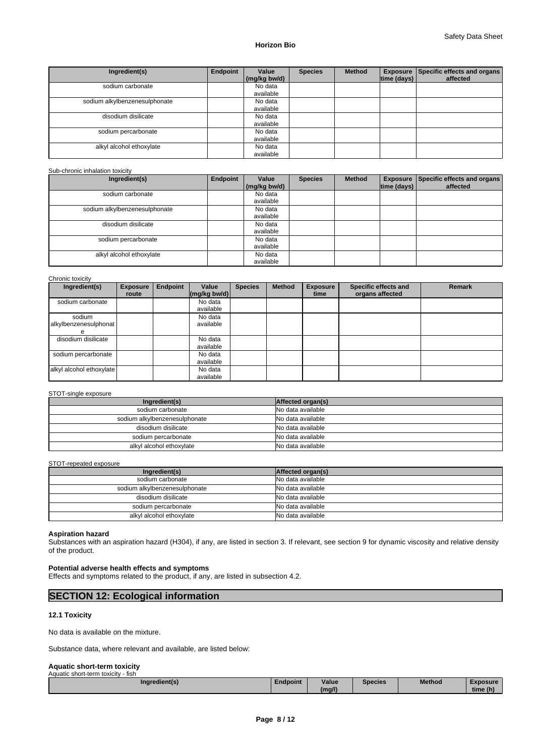| Ingredient(s)                 | Endpoint | Value<br>(mg/kg bw/d) | <b>Species</b> | <b>Method</b> | time (days) $ $ | Exposure Specific effects and organs<br>affected |
|-------------------------------|----------|-----------------------|----------------|---------------|-----------------|--------------------------------------------------|
| sodium carbonate              |          | No data<br>available  |                |               |                 |                                                  |
| sodium alkylbenzenesulphonate |          | No data<br>available  |                |               |                 |                                                  |
| disodium disilicate           |          | No data<br>available  |                |               |                 |                                                  |
| sodium percarbonate           |          | No data<br>available  |                |               |                 |                                                  |
| alkyl alcohol ethoxylate      |          | No data<br>available  |                |               |                 |                                                  |

# Sub-chronic inhalation toxicity

| Ingredient(s)                 | Endpoint | Value        | <b>Species</b> | <b>Method</b> |             | Exposure Specific effects and organs |
|-------------------------------|----------|--------------|----------------|---------------|-------------|--------------------------------------|
|                               |          | (mg/kg bw/d) |                |               | time (days) | affected                             |
| sodium carbonate              |          | No data      |                |               |             |                                      |
|                               |          | available    |                |               |             |                                      |
| sodium alkylbenzenesulphonate |          | No data      |                |               |             |                                      |
|                               |          | available    |                |               |             |                                      |
| disodium disilicate           |          | No data      |                |               |             |                                      |
|                               |          | available    |                |               |             |                                      |
| sodium percarbonate           |          | No data      |                |               |             |                                      |
|                               |          | available    |                |               |             |                                      |
| alkyl alcohol ethoxylate      |          | No data      |                |               |             |                                      |
|                               |          | available    |                |               |             |                                      |

Chronic toxicity

| <b>UNIUMO LUAIUILY</b>   |                 |                 |           |                |               |                 |                      |               |
|--------------------------|-----------------|-----------------|-----------|----------------|---------------|-----------------|----------------------|---------------|
| Ingredient(s)            | <b>Exposure</b> | <b>Endpoint</b> | Value     | <b>Species</b> | <b>Method</b> | <b>Exposure</b> | Specific effects and | <b>Remark</b> |
|                          | route           |                 | (mq/kg)   |                |               | time            | organs affected      |               |
| sodium carbonate         |                 |                 | No data   |                |               |                 |                      |               |
|                          |                 |                 | available |                |               |                 |                      |               |
| sodium                   |                 |                 | No data   |                |               |                 |                      |               |
| alkylbenzenesulphonat    |                 |                 | available |                |               |                 |                      |               |
| е                        |                 |                 |           |                |               |                 |                      |               |
| disodium disilicate      |                 |                 | No data   |                |               |                 |                      |               |
|                          |                 |                 | available |                |               |                 |                      |               |
| sodium percarbonate      |                 |                 | No data   |                |               |                 |                      |               |
|                          |                 |                 | available |                |               |                 |                      |               |
| alkyl alcohol ethoxylate |                 |                 | No data   |                |               |                 |                      |               |
|                          |                 |                 | available |                |               |                 |                      |               |

# STOT-single exposure

| Ingredient(s)                 | Affected organ(s) |
|-------------------------------|-------------------|
| sodium carbonate              | No data available |
| sodium alkylbenzenesulphonate | No data available |
| disodium disilicate           | No data available |
| sodium percarbonate           | No data available |
| alkyl alcohol ethoxylate      | No data available |

#### STOT-repeated exposure

| Ingredient(s)                 | Affected organ(s) |
|-------------------------------|-------------------|
| sodium carbonate              | No data available |
| sodium alkylbenzenesulphonate | No data available |
| disodium disilicate           | No data available |
| sodium percarbonate           | No data available |
| alkyl alcohol ethoxylate      | No data available |

# **Aspiration hazard**

Substances with an aspiration hazard (H304), if any, are listed in section 3. If relevant, see section 9 for dynamic viscosity and relative density of the product.

# **Potential adverse health effects and symptoms**

Effects and symptoms related to the product, if any, are listed in subsection 4.2.

# **SECTION 12: Ecological information**

# **12.1 Toxicity**

No data is available on the mixture.

Substance data, where relevant and available, are listed below:

#### **Aquatic short-term toxicity** tic short-teri

| <b>NUMBER OF STREET LIGHTIF</b><br>ווטוו |          |        |         |               |          |  |
|------------------------------------------|----------|--------|---------|---------------|----------|--|
| Ingredient(s)                            | Endpoint | Value  | Species | <b>Method</b> | Exposure |  |
| . .                                      |          | (mg/l) |         |               | time (h) |  |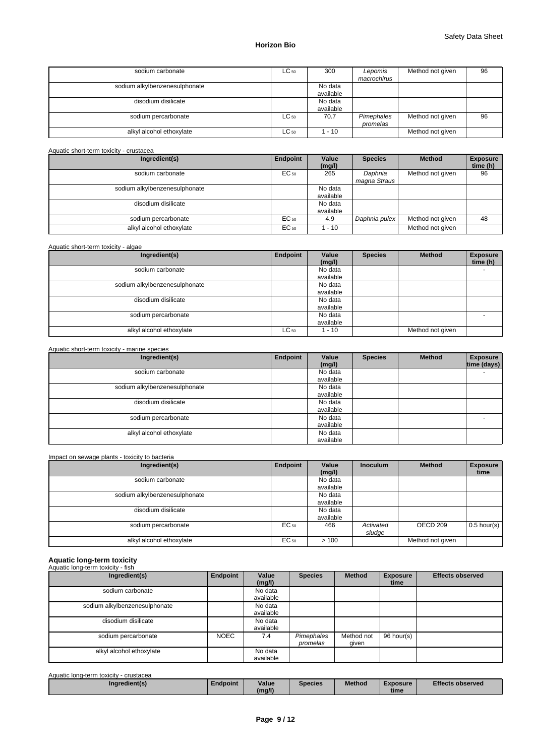| sodium carbonate              | $LC_{50}$ | 300                  | Lepomis<br>macrochirus | Method not given | 96 |
|-------------------------------|-----------|----------------------|------------------------|------------------|----|
| sodium alkylbenzenesulphonate |           | No data<br>available |                        |                  |    |
| disodium disilicate           |           | No data<br>available |                        |                  |    |
| sodium percarbonate           | $LC_{50}$ | 70.7                 | Pimephales<br>promelas | Method not given | 96 |
| alkyl alcohol ethoxylate      | $LC_{50}$ | - 10                 |                        | Method not given |    |

Aquatic short-term toxicity - crustacea

| Ingredient(s)                 | Endpoint | Value<br>(mg/l)      | <b>Species</b>          | <b>Method</b>    | <b>Exposure</b><br>time (h) |
|-------------------------------|----------|----------------------|-------------------------|------------------|-----------------------------|
| sodium carbonate              | EC 50    | 265                  | Daphnia<br>magna Straus | Method not given | 96                          |
| sodium alkylbenzenesulphonate |          | No data<br>available |                         |                  |                             |
| disodium disilicate           |          | No data<br>available |                         |                  |                             |
| sodium percarbonate           | EC 50    | 4.9                  | Daphnia pulex           | Method not given | 48                          |
| alkyl alcohol ethoxylate      | EC 50    | $-10$                |                         | Method not given |                             |

| Aquatic short-term toxicity - algae |  |
|-------------------------------------|--|
|-------------------------------------|--|

| Ingredient(s)                 | Endpoint  | Value<br>(mg/l)      | <b>Species</b> | <b>Method</b>    | <b>Exposure</b><br>time (h) |
|-------------------------------|-----------|----------------------|----------------|------------------|-----------------------------|
| sodium carbonate              |           | No data<br>available |                |                  | -                           |
| sodium alkylbenzenesulphonate |           | No data<br>available |                |                  |                             |
| disodium disilicate           |           | No data<br>available |                |                  |                             |
| sodium percarbonate           |           | No data<br>available |                |                  | -                           |
| alkyl alcohol ethoxylate      | $LC_{50}$ | 1 - 10               |                | Method not given |                             |

#### Aquatic short-term toxicity - marine species **Ingredient(s) Endpoint Value (mg/l)**  Species | Method | Exposure | **time (days)**  sodium carbonate available<br>No data sodium alkylbenzenesulphonate available<br>No data disodium disilicate available<br>No data sodium percarbonate available alkyl alcohol ethoxylate No data available

# Impact on sewage plants - toxicity to bacteria

| Ingredient(s)                 | Endpoint         | Value<br>(mg/l)      | <b>Inoculum</b>     | <b>Method</b>       | <b>Exposure</b><br>time |
|-------------------------------|------------------|----------------------|---------------------|---------------------|-------------------------|
| sodium carbonate              |                  | No data<br>available |                     |                     |                         |
| sodium alkylbenzenesulphonate |                  | No data<br>available |                     |                     |                         |
| disodium disilicate           |                  | No data<br>available |                     |                     |                         |
| sodium percarbonate           | EC 50            | 466                  | Activated<br>sludge | OECD <sub>209</sub> | $0.5$ hour(s)           |
| alkyl alcohol ethoxylate      | EC <sub>50</sub> | >100                 |                     | Method not given    |                         |

# **Aquatic long-term toxicity** Aquatic long-term toxicity - fish

| Ingredient(s)                 | Endpoint    | Value<br>(mg/l)      | <b>Species</b>         | <b>Method</b>       | <b>Exposure</b><br>time | <b>Effects observed</b> |
|-------------------------------|-------------|----------------------|------------------------|---------------------|-------------------------|-------------------------|
| sodium carbonate              |             | No data<br>available |                        |                     |                         |                         |
| sodium alkylbenzenesulphonate |             | No data<br>available |                        |                     |                         |                         |
| disodium disilicate           |             | No data<br>available |                        |                     |                         |                         |
| sodium percarbonate           | <b>NOEC</b> | 7.4                  | Pimephales<br>promelas | Method not<br>qiven | 96 hour(s)              |                         |
| alkyl alcohol ethoxylate      |             | No data<br>available |                        |                     |                         |                         |

| Aquatic long-term toxicity - crustacea |                 |        |                |               |                 |                         |
|----------------------------------------|-----------------|--------|----------------|---------------|-----------------|-------------------------|
| Ingredient(s)                          | <b>Endpoint</b> | Value  | <b>Species</b> | <b>Method</b> | <b>Exposure</b> | <b>Effects observed</b> |
|                                        |                 | (mg/l) |                |               | time            |                         |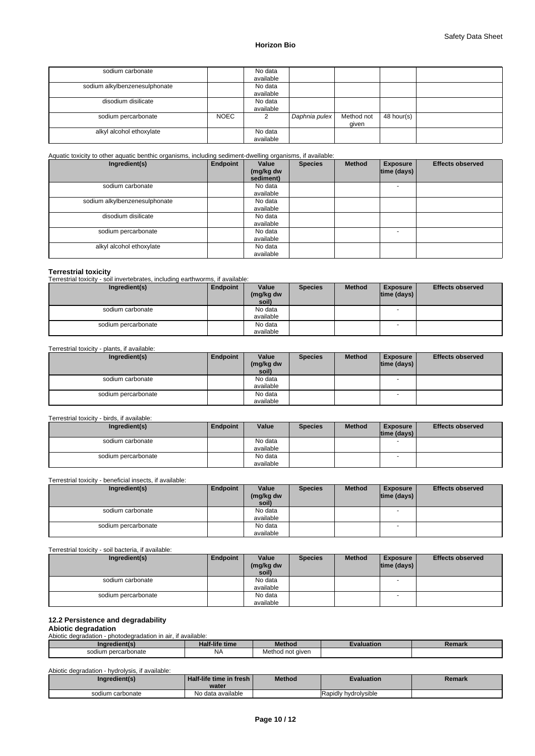| sodium carbonate              |             | No data<br>available |               |                     |            |  |
|-------------------------------|-------------|----------------------|---------------|---------------------|------------|--|
| sodium alkylbenzenesulphonate |             | No data<br>available |               |                     |            |  |
| disodium disilicate           |             | No data<br>available |               |                     |            |  |
| sodium percarbonate           | <b>NOEC</b> |                      | Daphnia pulex | Method not<br>given | 48 hour(s) |  |
| alkyl alcohol ethoxylate      |             | No data<br>available |               |                     |            |  |

#### Aquatic toxicity to other aquatic benthic organisms, including sediment-dwelling organisms, if available:

| Ingredient(s)                 | Endpoint | Value<br>(mg/kg dw<br>sediment) | <b>Species</b> | <b>Method</b> | <b>Exposure</b><br> time (days) | <b>Effects observed</b> |
|-------------------------------|----------|---------------------------------|----------------|---------------|---------------------------------|-------------------------|
| sodium carbonate              |          | No data<br>available            |                |               |                                 |                         |
| sodium alkylbenzenesulphonate |          | No data<br>available            |                |               |                                 |                         |
| disodium disilicate           |          | No data<br>available            |                |               |                                 |                         |
| sodium percarbonate           |          | No data<br>available            |                |               | $\overline{a}$                  |                         |
| alkyl alcohol ethoxylate      |          | No data<br>available            |                |               |                                 |                         |

# **Terrestrial toxicity**

Terrestrial toxicity - soil invertebrates, including earthworms, if available:

| Ingredient(s)       | Endpoint | Value<br>(mg/kg dw | <b>Species</b> | <b>Method</b> | <b>Exposure</b><br>$ time$ (days) $ $ | <b>Effects observed</b> |
|---------------------|----------|--------------------|----------------|---------------|---------------------------------------|-------------------------|
|                     |          | soil)              |                |               |                                       |                         |
| sodium carbonate    |          | No data            |                |               | $\overline{\phantom{a}}$              |                         |
|                     |          | available          |                |               |                                       |                         |
| sodium percarbonate |          | No data            |                |               |                                       |                         |
|                     |          | available          |                |               |                                       |                         |

# Terrestrial toxicity - plants, if available:

| Ingredient(s)       | Endpoint | Value     | <b>Species</b> | <b>Method</b> | <b>Exposure</b>    | <b>Effects observed</b> |
|---------------------|----------|-----------|----------------|---------------|--------------------|-------------------------|
|                     |          | (mg/kg dw |                |               | $ time$ (days) $ $ |                         |
|                     |          | soil)     |                |               |                    |                         |
| sodium carbonate    |          | No data   |                |               |                    |                         |
|                     |          | available |                |               |                    |                         |
| sodium percarbonate |          | No data   |                |               |                    |                         |
|                     |          | available |                |               |                    |                         |

# Terrestrial toxicity - birds, if available:

| Ingredient(s)       | Endpoint | Value                | <b>Species</b> | <b>Method</b> | <b>Exposure</b><br>$ time$ (days) $ $ | <b>Effects observed</b> |
|---------------------|----------|----------------------|----------------|---------------|---------------------------------------|-------------------------|
| sodium carbonate    |          | No data<br>available |                |               |                                       |                         |
| sodium percarbonate |          | No data<br>available |                |               |                                       |                         |

# Terrestrial toxicity - beneficial insects, if available:

| Ingredient(s)       | Endpoint | Value              | <b>Species</b> | <b>Method</b> | <b>Exposure</b>    | <b>Effects observed</b> |
|---------------------|----------|--------------------|----------------|---------------|--------------------|-------------------------|
|                     |          | (mg/kg dw<br>soil) |                |               | $ time$ (days) $ $ |                         |
|                     |          |                    |                |               |                    |                         |
| sodium carbonate    |          | No data            |                |               |                    |                         |
|                     |          | available          |                |               |                    |                         |
| sodium percarbonate |          | No data            |                |               |                    |                         |
|                     |          | available          |                |               |                    |                         |

Terrestrial toxicity - soil bacteria, if available:

| Ingredient(s)       | Endpoint | Value     | <b>Species</b> | <b>Method</b> | <b>Exposure</b>     | <b>Effects observed</b> |
|---------------------|----------|-----------|----------------|---------------|---------------------|-------------------------|
|                     |          | (mg/kg dw |                |               | time (days) $\vert$ |                         |
|                     |          | soil)     |                |               |                     |                         |
| sodium carbonate    |          | No data   |                |               |                     |                         |
|                     |          | available |                |               |                     |                         |
| sodium percarbonate |          | No data   |                |               |                     |                         |
|                     |          | available |                |               |                     |                         |

# **12.2 Persistence and degradability**

**Abiotic degradation** Abiotic degradation - photodegradation in air, if available:

| Ingredient(s                | Half-life time | <b>Method</b>                    | <b>Evaluation</b> | Remark |
|-----------------------------|----------------|----------------------------------|-------------------|--------|
| percarbonate<br>sodium<br>. | <b>NA</b>      | not given<br>Meth<br>nuu i<br>__ |                   |        |

#### Abiotic degradation - hydrolysis, if available:

| Ingredient(s)    | Half-life time in fresh I<br>water | <b>Method</b> | <b>Evaluation</b>    | Remark |
|------------------|------------------------------------|---------------|----------------------|--------|
| sodium carbonate | data available<br>No               |               | Rapidly hydrolysible |        |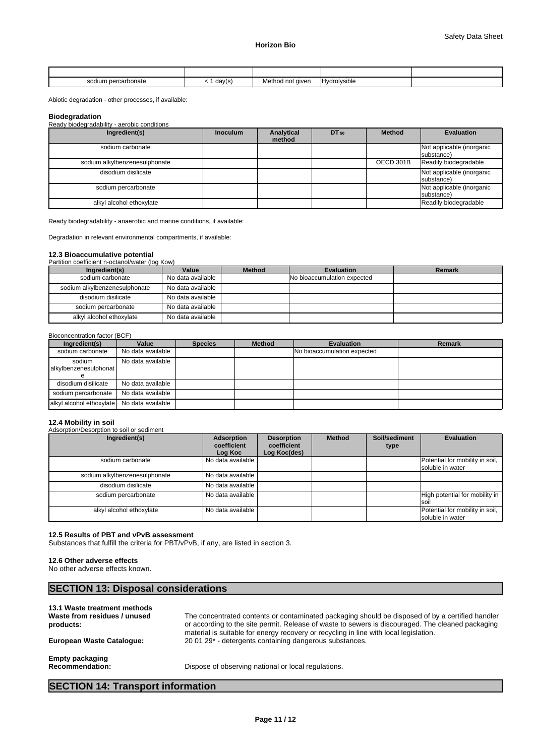| sodium percarbonate | day(s) | Method not given | .<br><b>IHvdrolvsible</b> |  |
|---------------------|--------|------------------|---------------------------|--|

Abiotic degradation - other processes, if available:

#### **Biodegradation**

Ready biodegradability - aerobic conditions

| Ingredient(s)                 | <b>Inoculum</b> | Analytical<br>method | DT 50 | <b>Method</b> | <b>Evaluation</b>                       |
|-------------------------------|-----------------|----------------------|-------|---------------|-----------------------------------------|
| sodium carbonate              |                 |                      |       |               | Not applicable (inorganic<br>substance) |
| sodium alkylbenzenesulphonate |                 |                      |       | OECD 301B     | Readily biodegradable                   |
| disodium disilicate           |                 |                      |       |               | Not applicable (inorganic<br>substance) |
| sodium percarbonate           |                 |                      |       |               | Not applicable (inorganic<br>substance) |
| alkyl alcohol ethoxylate      |                 |                      |       |               | Readily biodegradable                   |

Ready biodegradability - anaerobic and marine conditions, if available:

Degradation in relevant environmental compartments, if available:

### **12.3 Bioaccumulative potential**

Partition coefficient n-octanol/water (log Kow)

| Ingredient(s)                 | Value             | <b>Method</b> | Evaluation                  | Remark |
|-------------------------------|-------------------|---------------|-----------------------------|--------|
| sodium carbonate              | No data available |               | No bioaccumulation expected |        |
| sodium alkylbenzenesulphonate | No data available |               |                             |        |
| disodium disilicate           | No data available |               |                             |        |
| sodium percarbonate           | No data available |               |                             |        |
| alkyl alcohol ethoxylate      | No data available |               |                             |        |

#### Bioconcentration factor (BCF)

| Ingredient(s)                   | Value             | <b>Species</b> | <b>Method</b> | <b>Evaluation</b>                  | <b>Remark</b> |
|---------------------------------|-------------------|----------------|---------------|------------------------------------|---------------|
| sodium carbonate                | No data available |                |               | <b>No bioaccumulation expected</b> |               |
| sodium<br>alkylbenzenesulphonat | No data available |                |               |                                    |               |
| disodium disilicate             | No data available |                |               |                                    |               |
| sodium percarbonate             | No data available |                |               |                                    |               |
| alkyl alcohol ethoxylate        | No data available |                |               |                                    |               |

#### **12.4 Mobility in soil**

Adsorption/Desorption to soil or sediment

| Ingredient(s)                 | Adsorption<br>coefficient<br>Log Koc | <b>Desorption</b><br>coefficient<br>Log Koc(des) | <b>Method</b> | Soil/sediment<br>type | <b>Evaluation</b>                                   |
|-------------------------------|--------------------------------------|--------------------------------------------------|---------------|-----------------------|-----------------------------------------------------|
| sodium carbonate              | No data available                    |                                                  |               |                       | Potential for mobility in soil,<br>soluble in water |
| sodium alkylbenzenesulphonate | No data available                    |                                                  |               |                       |                                                     |
| disodium disilicate           | No data available                    |                                                  |               |                       |                                                     |
| sodium percarbonate           | No data available                    |                                                  |               |                       | High potential for mobility in<br><b>soil</b>       |
| alkyl alcohol ethoxylate      | No data available                    |                                                  |               |                       | Potential for mobility in soil,<br>soluble in water |

# **12.5 Results of PBT and vPvB assessment**

Substances that fulfill the criteria for PBT/vPvB, if any, are listed in section 3.

#### **12.6 Other adverse effects**

No other adverse effects known.

# **SECTION 13: Disposal considerations**

#### **13.1 Waste treatment methods Waste from residues / unused products:** The concentrated contents or contaminated packaging should be disposed of by a certified handler or according to the site permit. Release of waste to sewers is discouraged. The cleaned packaging material is suitable for energy recovery or recycling in line with local legislation. **European Waste Catalogue:** 20 01 29\* - detergents containing dangerous substances. **Empty packaging Recommendation:** Dispose of observing national or local regulations.

# **SECTION 14: Transport information**